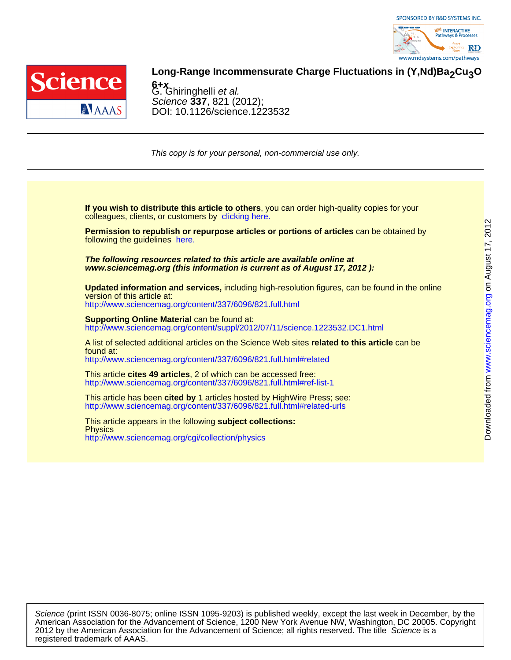



## Long-Range Incommensurate Charge Fluctuations in (Y,Nd)Ba<sub>2</sub>Cu<sub>3</sub>O

DOI: 10.1126/science.1223532 Science **337**, 821 (2012); G. Ghiringhelli et al. **6+<sup>x</sup>**

This copy is for your personal, non-commercial use only.

colleagues, clients, or customers by [clicking here.](http://www.sciencemag.org/about/permissions.dtl) **If you wish to distribute this article to others**, you can order high-quality copies for your

following the guidelines [here.](http://www.sciencemag.org/about/permissions.dtl) **Permission to republish or repurpose articles or portions of articles** can be obtained by

**www.sciencemag.org (this information is current as of August 17, 2012 ): The following resources related to this article are available online at**

version of this article at: **Updated information and services,** including high-resolution figures, can be found in the online

<http://www.sciencemag.org/content/337/6096/821.full.html>

http://www.sciencemag.org/content/suppl/2012/07/11/science.1223532.DC1.html **Supporting Online Material** can be found at:

<http://www.sciencemag.org/content/337/6096/821.full.html#related> found at: A list of selected additional articles on the Science Web sites **related to this article** can be

<http://www.sciencemag.org/content/337/6096/821.full.html#ref-list-1> This article **cites 49 articles**, 2 of which can be accessed free:

<http://www.sciencemag.org/content/337/6096/821.full.html#related-urls> This article has been **cited by** 1 articles hosted by HighWire Press; see:

<http://www.sciencemag.org/cgi/collection/physics> **Physics** This article appears in the following **subject collections:**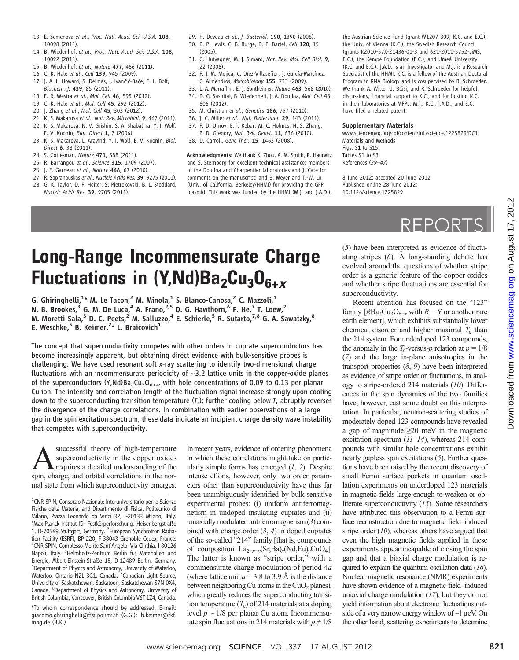- 13. E. Semenova et al., Proc. Natl. Acad. Sci. U.S.A. 108. 10098 (2011).
- 14. B. Wiedenheft et al., Proc. Natl. Acad. Sci. U.S.A. 108, 10092 (2011).
- 15. B. Wiedenheft et al., Nature 477, 486 (2011).
- 16. C. R. Hale et al., Cell 139, 945 (2009).
- 17. J. A. L. Howard, S. Delmas, I. Ivančić-Baće, E. L. Bolt, Biochem. J. 439, 85 (2011).
- 18. E. R. Westra et al., Mol. Cell 46, 595 (2012).
- 19. C. R. Hale et al., Mol. Cell 45, 292 (2012).
- 20. J. Zhang et al., Mol. Cell 45, 303 (2012).
- 21. K. S. Makarova et al., Nat. Rev. Microbiol. 9, 467 (2011). 22. K. S. Makarova, N. V. Grishin, S. A. Shabalina, Y. I. Wolf,
- E. V. Koonin, Biol. Direct 1, 7 (2006). 23. K. S. Makarova, L. Aravind, Y. I. Wolf, E. V. Koonin, Biol. Direct 6, 38 (2011).
- 24. S. Gottesman, Nature 471, 588 (2011).
- 25. R. Barrangou et al., Science 315, 1709 (2007).
- 26. J. E. Garneau *et al., Nature* 468, 67 (2010).
- 27. R. Sapranauskas et al., Nucleic Acids Res. 39, 9275 (2011).
- 28. G. K. Taylor, D. F. Heiter, S. Pietrokovski, B. L. Stoddard, Nucleic Acids Res. 39, 9705 (2011).
- 29. H. Deveau et al., J. Bacteriol. 190, 1390 (2008).
- 30. B. P. Lewis, C. B. Burge, D. P. Bartel, Cell 120, 15 (2005).
- 31. G. Hutvagner, M. J. Simard, Nat. Rev. Mol. Cell Biol. 9, 22 (2008).
- 32. F. J. M. Mojica, C. Díez-Villaseñor, J. García-Martínez, C. Almendros, Microbiology 155, 733 (2009).
- 33. L. A. Marraffini, E. J. Sontheimer, Nature 463, 568 (2010). 34. D. G. Sashital, B. Wiedenheft, J. A. Doudna, Mol. Cell 46, 606 (2012).
- 35. M. Christian et al., Genetics 186, 757 (2010).
- 36. J. C. Miller et al., Nat. Biotechnol. 29, 143 (2011).
- 37. F. D. Urnov, E. J. Rebar, M. C. Holmes, H. S. Zhang, P. D. Gregory, Nat. Rev. Genet. 11, 636 (2010).
- 38. D. Carroll, Gene Ther. 15, 1463 (2008).

Acknowledgments: We thank K. Zhou, A. M. Smith, R. Haurwitz and S. Sternberg for excellent technical assistance; members of the Doudna and Charpentier laboratories and J. Cate for comments on the manuscript; and B. Meyer and T.-W. Lo (Univ. of California, Berkeley/HHMI) for providing the GFP plasmid. This work was funded by the HHMI (M.J. and J.A.D.),

the Austrian Science Fund (grant W1207-B09; K.C. and E.C.), the Univ. of Vienna (K.C.), the Swedish Research Council (grants K2010-57X-21436-01-3 and 621-2011-5752-LiMS; E.C.), the Kempe Foundation (E.C.), and Umeå University (K.C. and E.C.). J.A.D. is an Investigator and M.J. is a Research Specialist of the HHMI. K.C. is a fellow of the Austrian Doctoral Program in RNA Biology and is cosupervised by R. Schroeder. We thank A. Witte, U. Bläsi, and R. Schroeder for helpful discussions, financial support to K.C., and for hosting K.C. in their laboratories at MFPL. M.J., K.C., J.A.D., and E.C. have filed a related patent.

### Supplementary Materials

www.sciencemag.org/cgi/content/full/science.1225829/DC1 Materials and Methods Figs. S1 to S15 Tables S1 to S3 References (39–47)

8 June 2012; accepted 20 June 2012 Published online 28 June 2012; 10.1126/science.1225829

# REPORTS

## Long-Range Incommensurate Charge Fluctuations in (Y,Nd)Ba<sub>2</sub>Cu<sub>3</sub>O<sub>6+x</sub>

G. Ghiringhelli, $^{1\star}$  M. Le Tacon, $^2$  M. Minola, $^1$  S. Blanco-Canosa, $^2$  C. Mazzoli, $^1$ N. B. Brookes,  $3$  G. M. De Luca,  $4$  A. Frano,  $2.5$  D. G. Hawthorn,  $6$  F. He,  $7$  T. Loew,  $2$ M. Moretti Sala, $^3$  D. C. Peets, $^2$  M. Salluzzo, $^4$  E. Schierle, $^5$  R. Sutarto, $^{7,8}$  G. A. Sawatzky, $^8$ E. Weschke,<sup>5</sup> B. Keimer,<sup>2</sup>\* L. Braicovich<sup>1</sup>

The concept that superconductivity competes with other orders in cuprate superconductors has become increasingly apparent, but obtaining direct evidence with bulk-sensitive probes is challenging. We have used resonant soft x-ray scattering to identify two-dimensional charge fluctuations with an incommensurate periodicity of  $\sim$ 3.2 lattice units in the copper-oxide planes of the superconductors  $(Y, Nd)Ba<sub>2</sub>Cu<sub>3</sub>O<sub>6+x</sub>$ , with hole concentrations of 0.09 to 0.13 per planar Cu ion. The intensity and correlation length of the fluctuation signal increase strongly upon cooling down to the superconducting transition temperature  $(T_c)$ ; further cooling below  $T_c$  abruptly reverses the divergence of the charge correlations. In combination with earlier observations of a large gap in the spin excitation spectrum, these data indicate an incipient charge density wave instability that competes with superconductivity.

successful theory of high-temperature superconductivity in the copper oxides requires a detailed understanding of the spin, charge, and orbital correlations in the normal state from which superconductivity emerges.

\*To whom correspondence should be addressed. E-mail: giacomo.ghiringhelli@fisi.polimi.it (G.G.); b.keimer@fkf. mpg.de (B.K.)

In recent years, evidence of ordering phenomena in which these correlations might take on particularly simple forms has emerged  $(1, 2)$ . Despite intense efforts, however, only two order parameters other than superconductivity have thus far been unambiguously identified by bulk-sensitive experimental probes: (i) uniform antiferromagnetism in undoped insulating cuprates and (ii) uniaxially modulated antiferromagnetism (3) combined with charge order  $(3, 4)$  in doped cuprates of the so-called "214" family [that is, compounds of composition La<sub>2−x−y</sub>(Sr,Ba)<sub>x</sub>(Nd,Eu)<sub>y</sub>CuO<sub>4</sub>]. The latter is known as "stripe order," with a commensurate charge modulation of period 4a (where lattice unit  $a = 3.8$  to 3.9 Å is the distance between neighboring Cu atoms in the  $CuO<sub>2</sub>$  planes), which greatly reduces the superconducting transition temperature  $(T_c)$  of 214 materials at a doping level  $p \sim 1/8$  per planar Cu atom. Incommensurate spin fluctuations in 214 materials with  $p \neq 1/8$ 

(5) have been interpreted as evidence of fluctuating stripes (6). A long-standing debate has evolved around the questions of whether stripe order is a generic feature of the copper oxides and whether stripe fluctuations are essential for superconductivity.

Recent attention has focused on the "123" family  $[RBa_2Cu_3O_{6+x}$  with  $R = Y$  or another rare earth element], which exhibits substantially lower chemical disorder and higher maximal  $T_c$  than the 214 system. For underdoped 123 compounds, the anomaly in the  $T_c$ -versus-p relation at  $p = 1/8$ (7) and the large in-plane anisotropies in the transport properties  $(8, 9)$  have been interpreted as evidence of stripe order or fluctuations, in analogy to stripe-ordered 214 materials (10). Differences in the spin dynamics of the two families have, however, cast some doubt on this interpretation. In particular, neutron-scattering studies of moderately doped 123 compounds have revealed a gap of magnitude  $\geq 20$  meV in the magnetic excitation spectrum  $(11-14)$ , whereas 214 compounds with similar hole concentrations exhibit nearly gapless spin excitations (5). Further questions have been raised by the recent discovery of small Fermi surface pockets in quantum oscillation experiments on underdoped 123 materials in magnetic fields large enough to weaken or obliterate superconductivity (15). Some researchers have attributed this observation to a Fermi surface reconstruction due to magnetic field–induced stripe order  $(10)$ , whereas others have argued that even the high magnetic fields applied in these experiments appear incapable of closing the spin gap and that a biaxial charge modulation is required to explain the quantum oscillation data  $(16)$ . Nuclear magnetic resonance (NMR) experiments have shown evidence of a magnetic field–induced uniaxial charge modulation  $(17)$ , but they do not yield information about electronic fluctuations outside of a very narrow energy window of  $\sim$ 1  $\mu$ eV. On the other hand, scattering experiments to determine

<sup>&</sup>lt;sup>1</sup>CNR-SPIN, Consorzio Nazionale Interuniversitario per le Scienze Fisiche della Materia, and Dipartimento di Fisica, Politecnico di Milano, Piazza Leonardo da Vinci 32, I-20133 Milano, Italy. <sup>2</sup> <sup>2</sup>Max-Planck-Institut für Festkörperforschung, Heisenbergstraße 1, D-70569 Stuttgart, Germany. <sup>3</sup>European Synchrotron Radiation Facility (ESRF), BP 220, F-38043 Grenoble Cedex, France. 4 CNR-SPIN, Complesso Monte Sant'Angelo–Via Cinthia, I-80126 Napoli, Italy. <sup>5</sup>Helmholtz-Zentrum Berlin für Materialien und Energie, Albert-Einstein-Straße 15, D-12489 Berlin, Germany. <sup>6</sup>Department of Physics and Astronomy, University of Waterloo,<br>Waterloo, Ontario N2L 3G1, Canada. <sup>7</sup>Canadian Light Source, University of Saskatchewan, Saskatoon, Saskatchewan S7N 0X4, Canada. <sup>8</sup>Department of Physics and Astronomy, University of British Columbia, Vancouver, British Columbia V6T 1Z4, Canada.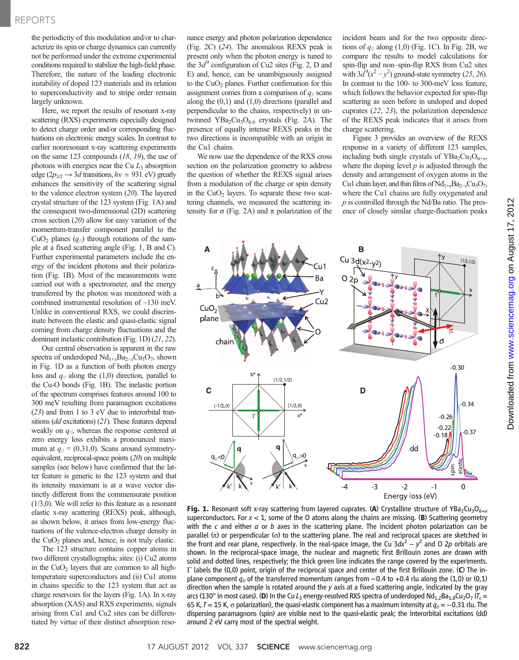### REPORTS

the periodicity of this modulation and/or to characterize its spin or charge dynamics can currently not be performed under the extreme experimental conditions required to stabilize the high-field phase. Therefore, the nature of the leading electronic instability of doped 123 materials and its relation to superconductivity and to stripe order remain largely unknown.

Here, we report the results of resonant x-ray scattering (RXS) experiments especially designed to detect charge order and/or corresponding fluctuations on electronic energy scales. In contrast to earlier nonresonant x-ray scattering experiments on the same 123 compounds (18, 19), the use of photons with energies near the Cu  $L_3$  absorption edge ( $2p_{3/2} \rightarrow 3d$  transitions,  $hv \approx 931$  eV) greatly enhances the sensitivity of the scattering signal to the valence electron system (20). The layered crystal structure of the 123 system (Fig. 1A) and the consequent two-dimensional (2D) scattering cross section (20) allow for easy variation of the momentum-transfer component parallel to the CuO<sub>2</sub> planes  $(q_{\ell})$  through rotations of the sample at a fixed scattering angle (Fig. 1, B and C). Further experimental parameters include the energy of the incident photons and their polarization (Fig. 1B). Most of the measurements were carried out with a spectrometer, and the energy transferred by the photon was monitored with a combined instrumental resolution of ~130 meV. Unlike in conventional RXS, we could discriminate between the elastic and quasi-elastic signal coming from charge density fluctuations and the dominant inelastic contribution (Fig. 1D) (21, 22).

Our central observation is apparent in the raw spectra of underdoped  $Nd_{1+x}Ba_{2-x}Cu_3O_7$ , shown in Fig. 1D as a function of both photon energy loss and  $q_{\ell}$  along the (1,0) direction, parallel to the Cu-O bonds (Fig. 1B). The inelastic portion of the spectrum comprises features around 100 to 300 meV resulting from paramagnon excitations (23) and from 1 to 3 eV due to interorbital transitions (*dd* excitations) (21). These features depend weakly on  $q_{\parallel}$ , whereas the response centered at zero energy loss exhibits a pronounced maximum at  $q_{\ell} = (0.31,0)$ . Scans around symmetryequivalent, reciprocal-space points (20) on multiple samples (see below) have confirmed that the latter feature is generic to the 123 system and that its intensity maximum is at a wave vector distinctly different from the commensurate position  $(1/3,0)$ . We will refer to this feature as a resonant elastic x-ray scattering (REXS) peak, although, as shown below, it arises from low-energy fluctuations of the valence-electron charge density in the  $CuO<sub>2</sub>$  planes and, hence, is not truly elastic.

The 123 structure contains copper atoms in two different crystallographic sites: (i) Cu2 atoms in the  $CuO<sub>2</sub>$  layers that are common to all hightemperature superconductors and (ii) Cu1 atoms in chains specific to the 123 system that act as charge reservoirs for the layers (Fig. 1A). In x-ray absorption (XAS) and RXS experiments, signals arising from Cu1 and Cu2 sites can be differentiated by virtue of their distinct absorption resonance energy and photon polarization dependence (Fig. 2C) (24). The anomalous REXS peak is present only when the photon energy is tuned to the  $3d<sup>9</sup>$  configuration of Cu2 sites (Fig. 2, D and E) and, hence, can be unambiguously assigned to the  $CuO<sub>2</sub>$  planes. Further confirmation for this assignment comes from a comparison of  $q_{\parallel}$  scans along the (0,1) and (1,0) directions (parallel and perpendicular to the chains, respectively) in untwinned  $YBa<sub>2</sub>Cu<sub>3</sub>O<sub>6.6</sub>$  crystals (Fig. 2A). The presence of equally intense REXS peaks in the two directions is incompatible with an origin in the Cu1 chains.

We now use the dependence of the RXS cross section on the polarization geometry to address the question of whether the REXS signal arises from a modulation of the charge or spin density in the  $CuO<sub>2</sub>$  layers. To separate these two scattering channels, we measured the scattering intensity for  $\sigma$  (Fig. 2A) and  $\pi$  polarization of the incident beam and for the two opposite directions of  $q_{\text{II}}$  along (1,0) (Fig. 1C). In Fig. 2B, we compare the results to model calculations for spin-flip and non–spin-flip RXS from Cu2 sites with  $3d^9(x^2-y^2)$  ground-state symmetry (25, 26). In contrast to the 100- to 300-meV loss feature, which follows the behavior expected for spin-flip scattering as seen before in undoped and doped cuprates (22, 23), the polarization dependence of the REXS peak indicates that it arises from charge scattering.

Figure 3 provides an overview of the REXS response in a variety of different 123 samples, including both single crystals of  $YBa<sub>2</sub>Cu<sub>3</sub>O<sub>6+x</sub>$ , where the doping level  $p$  is adjusted through the density and arrangement of oxygen atoms in the Cu1 chain layer, and thin films of  $Nd_{1+x}Ba_{2-x}Cu_3O_7$ , where the Cu1 chains are fully oxygenated and  $p$  is controlled through the Nd/Ba ratio. The presence of closely similar charge-fluctuation peaks



**Fig. 1.** Resonant soft x-ray scattering from layered cuprates. (A) Crystalline structure of YBa<sub>2</sub>Cu<sub>3</sub>O<sub>6+x</sub> superconductors. For  $x < 1$ , some of the O atoms along the chains are missing. (B) Scattering geometry with the  $c$  and either  $a$  or  $b$  axes in the scattering plane. The incident photon polarization can be parallel  $(\pi)$  or perpendicular  $(\sigma)$  to the scattering plane. The real and reciprocal spaces are sketched in the front and rear plane, respectively. In the real-space image, the Cu 3dx<sup>2</sup> – y<sup>2</sup> and O 2p orbitals are shown. In the reciprocal-space image, the nuclear and magnetic first Brillouin zones are drawn with solid and dotted lines, respectively; the thick green line indicates the range covered by the experiments.  $\Gamma$  labels the (0,0) point, origin of the reciprocal space and center of the first Brillouin zone. (C) The inplane component  $q_{\parallel}$  of the transferred momentum ranges from  $-0.4$  to  $+0.4$  rlu along the (1,0) or (0,1) direction when the sample is rotated around the  $y$  axis at a fixed scattering angle, indicated by the gray arcs (130° in most cases). (D) In the Cu L<sub>3</sub> energy-resolved RXS spectra of underdoped Nd<sub>1.2</sub>Ba<sub>1.8</sub>Cu<sub>3</sub>O<sub>7</sub> (T<sub>c</sub> = 65 K, T = 15 K,  $\sigma$  polarization), the quasi-elastic component has a maximum intensity at  $q_{\ell} = -0.31$  rlu. The dispersing paramagnons (spin) are visible next to the quasi-elastic peak; the interorbital excitations (dd) around 2 eV carry most of the spectral weight.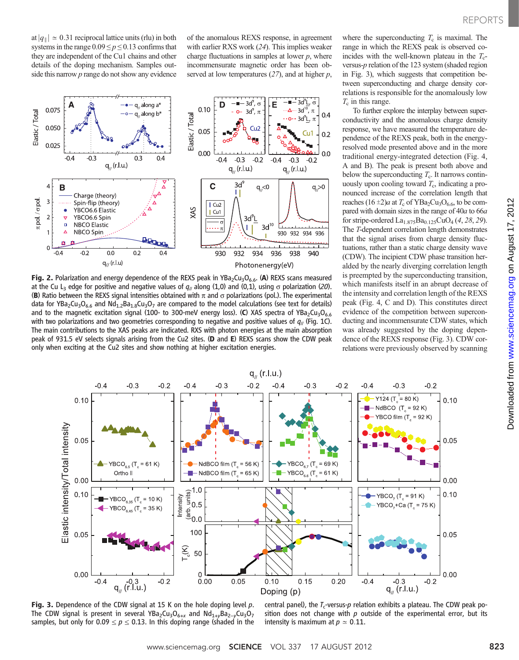at  $|q_{\parallel}| \approx 0.31$  reciprocal lattice units (rlu) in both systems in the range  $0.09 \le p \le 0.13$  confirms that they are independent of the Cu1 chains and other details of the doping mechanism. Samples outside this narrow  $p$  range do not show any evidence of the anomalous REXS response, in agreement with earlier RXS work (24). This implies weaker charge fluctuations in samples at lower  $p$ , where incommensurate magnetic order has been observed at low temperatures  $(27)$ , and at higher p,



**Fig. 2.** Polarization and energy dependence of the REXS peak in YBa<sub>2</sub>Cu<sub>3</sub>O<sub>6.6</sub>. (A) REXS scans measured at the Cu L<sub>3</sub> edge for positive and negative values of  $q_{\parallel}$  along (1,0) and (0,1), using  $\sigma$  polarization (20). (B) Ratio between the REXS signal intensities obtained with  $\pi$  and  $\sigma$  polarizations (pol.). The experimental data for YBa<sub>2</sub>Cu<sub>3</sub>O<sub>6.6</sub> and Nd<sub>1.2</sub>Ba<sub>1.8</sub>Cu<sub>3</sub>O<sub>7</sub> are compared to the model calculations (see text for details) and to the magnetic excitation signal (100- to 300-meV energy loss). (C) XAS spectra of YBa<sub>2</sub>Cu<sub>3</sub>O<sub>6.6</sub> with two polarizations and two geometries corresponding to negative and positive values of  $q_{\parallel}$  (Fig. 1C). The main contributions to the XAS peaks are indicated. RXS with photon energies at the main absorption peak of 931.5 eV selects signals arising from the Cu2 sites. (D and E) REXS scans show the CDW peak only when exciting at the Cu2 sites and show nothing at higher excitation energies.

where the superconducting  $T_c$  is maximal. The range in which the REXS peak is observed coincides with the well-known plateau in the  $T_c$ versus-p relation of the 123 system (shaded region in Fig. 3), which suggests that competition between superconducting and charge density correlations is responsible for the anomalously low  $T_c$  in this range.

To further explore the interplay between superconductivity and the anomalous charge density response, we have measured the temperature dependence of the REXS peak, both in the energyresolved mode presented above and in the more traditional energy-integrated detection (Fig. 4, A and B). The peak is present both above and below the superconducting  $T_c$ . It narrows continuously upon cooling toward  $T_c$ , indicating a pronounced increase of the correlation length that reaches  $(16 \pm 2)a$  at  $T_c$  of YBa<sub>2</sub>Cu<sub>3</sub>O<sub>6.6</sub>, to be compared with domain sizes in the range of 40a to 66a for stripe-ordered  $La<sub>1.875</sub>Ba<sub>0.125</sub>CuO<sub>4</sub>(4, 28, 29)$ . The T-dependent correlation length demonstrates that the signal arises from charge density fluctuations, rather than a static charge density wave (CDW). The incipient CDW phase transition heralded by the nearly diverging correlation length is preempted by the superconducting transition, which manifests itself in an abrupt decrease of the intensity and correlation length of the REXS peak (Fig. 4, C and D). This constitutes direct evidence of the competition between superconducting and incommensurate CDW states, which was already suggested by the doping dependence of the REXS response (Fig. 3). CDW correlations were previously observed by scanning



Fig. 3. Dependence of the CDW signal at 15 K on the hole doping level p. The CDW signal is present in several YBa<sub>2</sub>Cu<sub>3</sub>O<sub>6+x</sub> and Nd<sub>1+y</sub>Ba<sub>2−y</sub>Cu<sub>3</sub>O<sub>7</sub> samples, but only for  $0.09 \le p \le 0.13$ . In this doping range (shaded in the

central panel), the  $T_c$ -versus-p relation exhibits a plateau. The CDW peak position does not change with  $p$  outside of the experimental error, but its intensity is maximum at  $p \approx 0.11$ .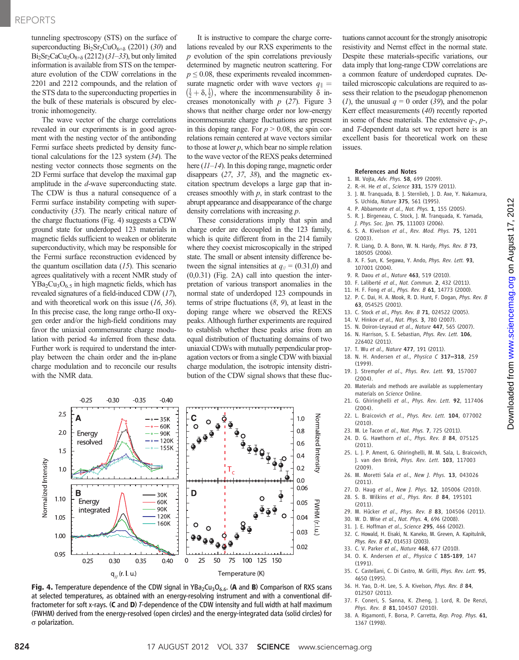tunneling spectroscopy (STS) on the surface of superconducting  $Bi_2Sr_2CuO_{6+\delta}$  (2201) (30) and  $Bi<sub>2</sub>Sr<sub>2</sub>CaCu<sub>2</sub>O<sub>8+\delta</sub>$  (2212) (31–33), but only limited information is available from STS on the temperature evolution of the CDW correlations in the 2201 and 2212 compounds, and the relation of the STS data to the superconducting properties in the bulk of these materials is obscured by electronic inhomogeneity.

The wave vector of the charge correlations revealed in our experiments is in good agreement with the nesting vector of the antibonding Fermi surface sheets predicted by density functional calculations for the 123 system (34). The nesting vector connects those segments on the 2D Fermi surface that develop the maximal gap amplitude in the d-wave superconducting state. The CDW is thus a natural consequence of a Fermi surface instability competing with superconductivity (35). The nearly critical nature of the charge fluctuations (Fig. 4) suggests a CDW ground state for underdoped 123 materials in magnetic fields sufficient to weaken or obliterate superconductivity, which may be responsible for the Fermi surface reconstruction evidenced by the quantum oscillation data  $(15)$ . This scenario agrees qualitatively with a recent NMR study of  $YBa<sub>2</sub>Cu<sub>3</sub>O<sub>6.5</sub>$  in high magnetic fields, which has revealed signatures of a field-induced CDW (17), and with theoretical work on this issue (16, 36). In this precise case, the long range ortho-II oxygen order and/or the high-field conditions may favor the uniaxial commensurate charge modulation with period 4a inferred from these data. Further work is required to understand the interplay between the chain order and the in-plane charge modulation and to reconcile our results with the NMR data.

It is instructive to compare the charge correlations revealed by our RXS experiments to the  $p$  evolution of the spin correlations previously determined by magnetic neutron scattering. For  $p \leq 0.08$ , these experiments revealed incommensurate magnetic order with wave vectors  $q_{\parallel}$  =  $(\frac{1}{2} + \delta, \frac{1}{2})$ , where the incommensurability  $\delta$  increases monotonically with  $p(27)$ . Figure 3 shows that neither charge order nor low-energy incommensurate charge fluctuations are present in this doping range. For  $p > 0.08$ , the spin correlations remain centered at wave vectors similar to those at lower  $p$ , which bear no simple relation to the wave vector of the REXS peaks determined here ( $11-14$ ). In this doping range, magnetic order disappears (27, 37, 38), and the magnetic excitation spectrum develops a large gap that increases smoothly with  $p$ , in stark contrast to the abrupt appearance and disappearance of the charge density correlations with increasing p.

These considerations imply that spin and charge order are decoupled in the 123 family, which is quite different from in the 214 family where they coexist microscopically in the striped state. The small or absent intensity difference between the signal intensities at  $q_{\ell} = (0.31,0)$  and (0,0.31) (Fig. 2A) call into question the interpretation of various transport anomalies in the normal state of underdoped 123 compounds in terms of stripe fluctuations  $(8, 9)$ , at least in the doping range where we observed the REXS peaks. Although further experiments are required to establish whether these peaks arise from an equal distribution of fluctuating domains of two uniaxial CDWs with mutually perpendicular propagation vectors or from a single CDW with biaxial charge modulation, the isotropic intensity distribution of the CDW signal shows that these fluc-



Fig. 4. Temperature dependence of the CDW signal in  $YBa_2Cu_3O_{6.6}$ . (A and B) Comparison of RXS scans at selected temperatures, as obtained with an energy-resolving instrument and with a conventional diffractometer for soft x-rays. (C and D) <sup>T</sup>-dependence of the CDW intensity and full width at half maximum (FWHM) derived from the energy-resolved (open circles) and the energy-integrated data (solid circles) for  $\sigma$  polarization.

tuations cannot account for the strongly anisotropic resistivity and Nernst effect in the normal state. Despite these materials-specific variations, our data imply that long-range CDW correlations are a common feature of underdoped cuprates. Detailed microscopic calculations are required to assess their relation to the pseudogap phenomenon (1), the unusual  $q = 0$  order (39), and the polar Kerr effect measurements (40) recently reported in some of these materials. The extensive  $q$ -,  $p$ -, and T-dependent data set we report here is an excellent basis for theoretical work on these issues.

#### References and Notes

- 1. M. Vojta, Adv. Phys. 58, 699 (2009).
- 2. R.-H. He et al., Science 331, 1579 (2011).
- 3. J. M. Tranquada, B. J. Sternlieb, J. D. Axe, Y. Nakamura, S. Uchida, Nature 375, 561 (1995).
- 4. P. Abbamonte et al., Nat. Phys. 1, 155 (2005).
- 5. R. J. Birgeneau, C. Stock, J. M. Tranquada, K. Yamada, J. Phys. Soc. Jpn. 75, 111003 (2006).
- 6. S. A. Kivelson et al., Rev. Mod. Phys. 75, 1201 (2003).

on August 17, 2012

[www.sciencemag.org](http://www.sciencemag.org/)

Downloaded from www.sciencemag.org on August 17, 2012

Downloaded from

- 7. R. Liang, D. A. Bonn, W. N. Hardy, Phys. Rev. B 73, 180505 (2006).
- 8. X. F. Sun, K. Segawa, Y. Ando, Phys. Rev. Lett. 93, 107001 (2004).
- 9. R. Daou et al., Nature 463, 519 (2010).
- 10. F. Laliberté et al., Nat. Commun. 2, 432 (2011).
- 11. H. F. Fong et al., Phys. Rev. B 61, 14773 (2000).
- 12. P. C. Dai, H. A. Mook, R. D. Hunt, F. Dogan, Phys. Rev. B 63, 054525 (2001).
- 13. C. Stock et al., Phys. Rev. B 71, 024522 (2005).
- 14. V. Hinkov et al., Nat. Phys. 3, 780 (2007).
- 15. N. Doiron-Leyraud et al., Nature 447, 565 (2007). 16. N. Harrison, S. E. Sebastian, Phys. Rev. Lett. 106,
- 226402 (2011).
- 17. T. Wu et al., Nature 477, 191 (2011).
- 18. N. H. Andersen et al., Physica C 317*–*318, 259 (1999).
- 19. J. Strempfer et al., Phys. Rev. Lett. 93, 157007 (2004).
- 20. Materials and methods are available as supplementary materials on Science Online.
- 21. G. Ghiringhelli et al., Phys. Rev. Lett. 92, 117406 (2004).
- 22. L. Braicovich et al., Phys. Rev. Lett. 104, 077002 (2010).
- 23. M. Le Tacon et al., Nat. Phys. 7, 725 (2011).
- 24. D. G. Hawthorn et al., Phys. Rev. B 84, 075125  $(2011)$
- 25. L. J. P. Ament, G. Ghiringhelli, M. M. Sala, L. Braicovich, J. van den Brink, Phys. Rev. Lett. 103, 117003 (2009).
- 26. M. Moretti Sala et al., New J. Phys. 13, 043026 (2011).
- 27. D. Haug et al., New J. Phys. 12, 105006 (2010).
- 28. S. B. Wilkins et al., Phys. Rev. B 84, 195101 (2011).
- 29. M. Hücker et al., Phys. Rev. B 83, 104506 (2011).
- 30. W. D. Wise et al., Nat. Phys. 4, 696 (2008). 31. J. E. Hoffman et al., Science 295, 466 (2002).
- 
- 32. C. Howald, H. Eisaki, N. Kaneko, M. Greven, A. Kapitulnik, Phys. Rev. B 67, 014533 (2003). 33. C. V. Parker et al., Nature 468, 677 (2010).
- 
- 34. O. K. Andersen et al., Physica C 185-189, 147 (1991).
- 35. C. Castellani, C. Di Castro, M. Grilli, Phys. Rev. Lett. 95, 4650 (1995).
- 36. H. Yao, D.-H. Lee, S. A. Kivelson, Phys. Rev. B 84, 012507 (2011).
- 37. F. Coneri, S. Sanna, K. Zheng, J. Lord, R. De Renzi, Phys. Rev. B 81, 104507 (2010).
- 38. A. Rigamonti, F. Borsa, P. Carretta, Rep. Prog. Phys. 61, 1367 (1998).